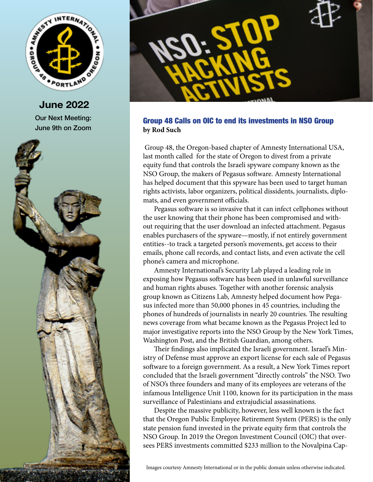

**June 2022** Our Next Meeting: June 9th on Zoom





## Group 48 Calls on OIC to end its investments in NSO Group **by Rod Such**

 Group 48, the Oregon-based chapter of Amnesty International USA, last month called for the state of Oregon to divest from a private equity fund that controls the Israeli spyware company known as the NSO Group, the makers of Pegasus software. Amnesty International has helped document that this spyware has been used to target human rights activists, labor organizers, political dissidents, journalists, diplomats, and even government officials.

Pegasus software is so invasive that it can infect cellphones without the user knowing that their phone has been compromised and without requiring that the user download an infected attachment. Pegasus enables purchasers of the spyware—mostly, if not entirely government entities--to track a targeted person's movements, get access to their emails, phone call records, and contact lists, and even activate the cell phone's camera and microphone.

Amnesty International's Security Lab played a leading role in exposing how Pegasus software has been used in unlawful surveillance and human rights abuses. Together with another forensic analysis group known as Citizens Lab, Amnesty helped document how Pegasus infected more than 50,000 phones in 45 countries, including the phones of hundreds of journalists in nearly 20 countries. The resulting news coverage from what became known as the Pegasus Project led to major investigative reports into the NSO Group by the New York Times, Washington Post, and the British Guardian, among others.

Their findings also implicated the Israeli government. Israel's Ministry of Defense must approve an export license for each sale of Pegasus software to a foreign government. As a result, a New York Times report concluded that the Israeli government "directly controls" the NSO. Two of NSO's three founders and many of its employees are veterans of the infamous Intelligence Unit 1100, known for its participation in the mass surveillance of Palestinians and extrajudicial assassinations.

Despite the massive publicity, however, less well known is the fact that the Oregon Public Employee Retirement System (PERS) is the only state pension fund invested in the private equity firm that controls the NSO Group. In 2019 the Oregon Investment Council (OIC) that oversees PERS investments committed \$233 million to the Novalpina Cap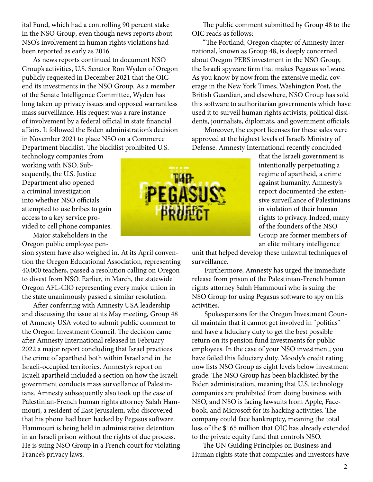ital Fund, which had a controlling 90 percent stake in the NSO Group, even though news reports about NSO's involvement in human rights violations had been reported as early as 2016.

As news reports continued to document NSO Group's activities, U.S. Senator Ron Wyden of Oregon publicly requested in December 2021 that the OIC end its investments in the NSO Group. As a member of the Senate Intelligence Committee, Wyden has long taken up privacy issues and opposed warrantless mass surveillance. His request was a rare instance of involvement by a federal official in state financial affairs. It followed the Biden administration's decision in November 2021 to place NSO on a Commerce Department blacklist. The blacklist prohibited U.S.

technology companies from working with NSO. Subsequently, the U.S. Justice Department also opened a criminal investigation into whether NSO officials attempted to use bribes to gain access to a key service provided to cell phone companies.

Major stakeholders in the Oregon public employee pen-

sion system have also weighed in. At its April convention the Oregon Educational Association, representing 40,000 teachers, passed a resolution calling on Oregon to divest from NSO. Earlier, in March, the statewide Oregon AFL-CIO representing every major union in the state unanimously passed a similar resolution.

After conferring with Amnesty USA leadership and discussing the issue at its May meeting, Group 48 of Amnesty USA voted to submit public comment to the Oregon Investment Council. The decision came after Amnesty International released in February 2022 a major report concluding that Israel practices the crime of apartheid both within Israel and in the Israeli-occupied territories. Amnesty's report on Israeli apartheid included a section on how the Israeli government conducts mass surveillance of Palestinians. Amnesty subsequently also took up the case of Palestinian-French human rights attorney Salah Hammouri, a resident of East Jerusalem, who discovered that his phone had been hacked by Pegasus software. Hammouri is being held in administrative detention in an Israeli prison without the rights of due process. He is suing NSO Group in a French court for violating France's privacy laws.

The public comment submitted by Group 48 to the OIC reads as follows:

"The Portland, Oregon chapter of Amnesty International, known as Group 48, is deeply concerned about Oregon PERS investment in the NSO Group, the Israeli spyware firm that makes Pegasus software. As you know by now from the extensive media coverage in the New York Times, Washington Post, the British Guardian, and elsewhere, NSO Group has sold this software to authoritarian governments which have used it to surveil human rights activists, political dissidents, journalists, diplomats, and government officials.

 Moreover, the export licenses for these sales were approved at the highest levels of Israel's Ministry of Defense. Amnesty International recently concluded

> that the Israeli government is intentionally perpetuating a regime of apartheid, a crime against humanity. Amnesty's report documented the extensive surveillance of Palestinians in violation of their human rights to privacy. Indeed, many of the founders of the NSO Group are former members of an elite military intelligence

unit that helped develop these unlawful techniques of surveillance.

 Furthermore, Amnesty has urged the immediate release from prison of the Palestinian-French human rights attorney Salah Hammouri who is suing the NSO Group for using Pegasus software to spy on his activities.

 Spokespersons for the Oregon Investment Council maintain that it cannot get involved in "politics" and have a fiduciary duty to get the best possible return on its pension fund investments for public employees. In the case of your NSO investment, you have failed this fiduciary duty. Moody's credit rating now lists NSO Group as eight levels below investment grade. The NSO Group has been blacklisted by the Biden administration, meaning that U.S. technology companies are prohibited from doing business with NSO, and NSO is facing lawsuits from Apple, Facebook, and Microsoft for its hacking activities. The company could face bankruptcy, meaning the total loss of the \$165 million that OIC has already extended to the private equity fund that controls NSO.

The UN Guiding Principles on Business and Human rights state that companies and investors have

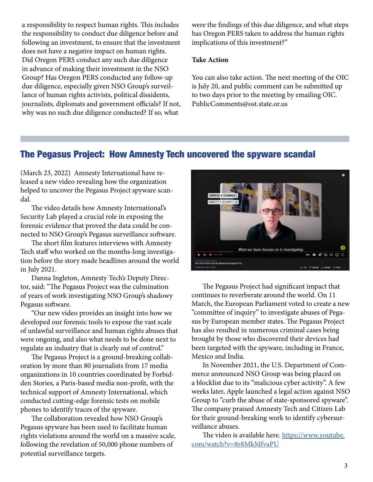a responsibility to respect human rights. This includes the responsibility to conduct due diligence before and following an investment, to ensure that the investment does not have a negative impact on human rights. Did Oregon PERS conduct any such due diligence in advance of making their investment in the NSO Group? Has Oregon PERS conducted any follow-up due diligence, especially given NSO Group's surveillance of human rights activists, political dissidents, journalists, diplomats and government officials? If not, why was no such due diligence conducted? If so, what

were the findings of this due diligence, and what steps has Oregon PERS taken to address the human rights implications of this investment?"

#### **Take Action**

You can also take action. The next meeting of the OIC is July 20, and public comment can be submitted up to two days prior to the meeting by emailing OIC. PublicComments@ost.state.or.us

# The Pegasus Project: How Amnesty Tech uncovered the spyware scandal

(March 23, 2022) Amnesty International have released a new video revealing how the organization helped to uncover the Pegasus Project spyware scandal.

The video details how Amnesty International's Security Lab played a crucial role in exposing the forensic evidence that proved the data could be connected to NSO Group's Pegasus surveillance software.

The short film features interviews with Amnesty Tech staff who worked on the months-long investigation before the story made headlines around the world in July 2021.

Danna Ingleton, Amnesty Tech's Deputy Director, said: "The Pegasus Project was the culmination of years of work investigating NSO Group's shadowy Pegasus software.

"Our new video provides an insight into how we developed our forensic tools to expose the vast scale of unlawful surveillance and human rights abuses that were ongoing, and also what needs to be done next to regulate an industry that is clearly out of control."

The Pegasus Project is a ground-breaking collaboration by more than 80 journalists from 17 media organizations in 10 countries coordinated by Forbidden Stories, a Paris-based media non-profit, with the technical support of Amnesty International, which conducted cutting-edge forensic tests on mobile phones to identify traces of the spyware.

The collaboration revealed how NSO Group's Pegasus spyware has been used to facilitate human rights violations around the world on a massive scale, following the revelation of 50,000 phone numbers of potential surveillance targets.



The Pegasus Project had significant impact that continues to reverberate around the world. On 11 March, the European Parliament voted to create a new "committee of inquiry" to investigate abuses of Pegasus by European member states. The Pegasus Project has also resulted in numerous criminal cases being brought by those who discovered their devices had been targeted with the spyware, including in France, Mexico and India.

In November 2021, the U.S. Department of Commerce announced NSO Group was being placed on a blocklist due to its "malicious cyber activity". A few weeks later, Apple launched a legal action against NSO Group to "curb the abuse of state-sponsored spyware". The company praised Amnesty Tech and Citizen Lab for their ground-breaking work to identify cybersurveillance abuses.

The video is available here. [https://www.youtube.](https://www.youtube.com/watch?v=8r8MkMfvaPU
) [com/watch?v=8r8MkMfvaPU](https://www.youtube.com/watch?v=8r8MkMfvaPU
)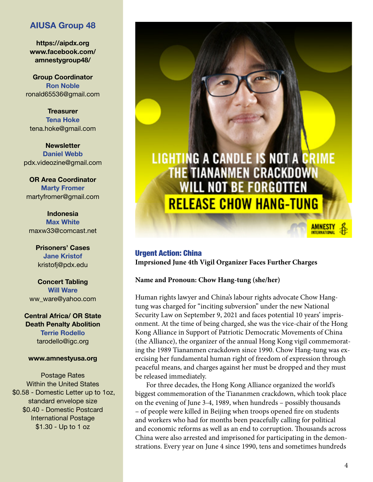## **AIUSA Group 48**

**https://aipdx.org www.facebook.com/ amnestygroup48/**

**Group Coordinator Ron Noble** ronald65536@gmail.com

**Treasurer Tena Hoke** tena.hoke@gmail.com

**Newsletter Daniel Webb** pdx.videozine@gmail.com

**OR Area Coordinator Marty Fromer** martyfromer@gmail.com

**Indonesia Max White** maxw33@comcast.net

> **Prisoners' Cases Jane Kristof** kristofj@pdx.edu

**Concert Tabling Will Ware** ww\_ware@yahoo.com

**Central Africa/ OR State Death Penalty Abolition Terrie Rodello** tarodello@igc.org

#### **www.amnestyusa.org**

Postage Rates Within the United States \$0.58 - Domestic Letter up to 1oz, standard envelope size \$0.40 - Domestic Postcard International Postage \$1.30 - Up to 1 oz



## Urgent Action: China **Imprsioned June 4th Vigil Organizer Faces Further Charges**

**Name and Pronoun: Chow Hang-tung (she/her)**

Human rights lawyer and China's labour rights advocate Chow Hangtung was charged for "inciting subversion" under the new National Security Law on September 9, 2021 and faces potential 10 years' imprisonment. At the time of being charged, she was the vice-chair of the Hong Kong Alliance in Support of Patriotic Democratic Movements of China (the Alliance), the organizer of the annual Hong Kong vigil commemorating the 1989 Tiananmen crackdown since 1990. Chow Hang-tung was exercising her fundamental human right of freedom of expression through peaceful means, and charges against her must be dropped and they must be released immediately.

For three decades, the Hong Kong Alliance organized the world's biggest commemoration of the Tiananmen crackdown, which took place on the evening of June 3-4, 1989, when hundreds – possibly thousands – of people were killed in Beijing when troops opened fire on students and workers who had for months been peacefully calling for political and economic reforms as well as an end to corruption. Thousands across China were also arrested and imprisoned for participating in the demonstrations. Every year on June 4 since 1990, tens and sometimes hundreds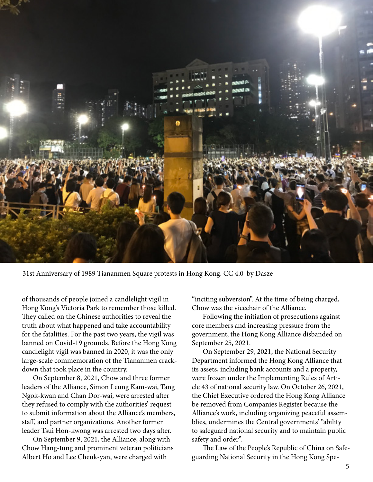

31st Anniversary of 1989 Tiananmen Square protests in Hong Kong. CC 4.0 by Dasze

of thousands of people joined a candlelight vigil in Hong Kong's Victoria Park to remember those killed. They called on the Chinese authorities to reveal the truth about what happened and take accountability for the fatalities. For the past two years, the vigil was banned on Covid-19 grounds. Before the Hong Kong candlelight vigil was banned in 2020, it was the only large-scale commemoration of the Tiananmen crackdown that took place in the country.

On September 8, 2021, Chow and three former leaders of the Alliance, Simon Leung Kam-wai, Tang Ngok-kwan and Chan Dor-wai, were arrested after they refused to comply with the authorities' request to submit information about the Alliance's members, staff, and partner organizations. Another former leader Tsui Hon-kwong was arrested two days after.

On September 9, 2021, the Alliance, along with Chow Hang-tung and prominent veteran politicians Albert Ho and Lee Cheuk-yan, were charged with

"inciting subversion". At the time of being charged, Chow was the vicechair of the Alliance.

Following the initiation of prosecutions against core members and increasing pressure from the government, the Hong Kong Alliance disbanded on September 25, 2021.

On September 29, 2021, the National Security Department informed the Hong Kong Alliance that its assets, including bank accounts and a property, were frozen under the Implementing Rules of Article 43 of national security law. On October 26, 2021, the Chief Executive ordered the Hong Kong Alliance be removed from Companies Register because the Alliance's work, including organizing peaceful assemblies, undermines the Central governments' "ability to safeguard national security and to maintain public safety and order".

The Law of the People's Republic of China on Safeguarding National Security in the Hong Kong Spe-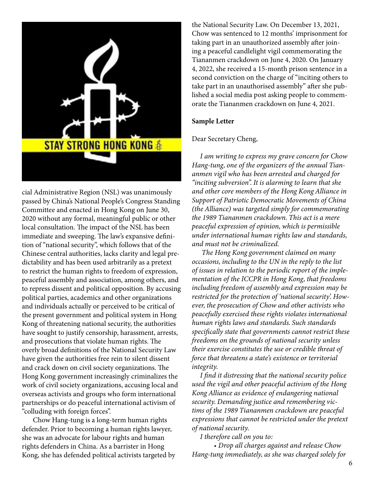

cial Administrative Region (NSL) was unanimously passed by China's National People's Congress Standing Committee and enacted in Hong Kong on June 30, 2020 without any formal, meaningful public or other local consultation. The impact of the NSL has been immediate and sweeping. The law's expansive definition of "national security", which follows that of the Chinese central authorities, lacks clarity and legal predictability and has been used arbitrarily as a pretext to restrict the human rights to freedom of expression, peaceful assembly and association, among others, and to repress dissent and political opposition. By accusing political parties, academics and other organizations and individuals actually or perceived to be critical of the present government and political system in Hong Kong of threatening national security, the authorities have sought to justify censorship, harassment, arrests, and prosecutions that violate human rights. The overly broad definitions of the National Security Law have given the authorities free rein to silent dissent and crack down on civil society organizations. The Hong Kong government increasingly criminalizes the work of civil society organizations, accusing local and overseas activists and groups who form international partnerships or do peaceful international activism of "colluding with foreign forces".

Chow Hang-tung is a long-term human rights defender. Prior to becoming a human rights lawyer, she was an advocate for labour rights and human rights defenders in China. As a barrister in Hong Kong, she has defended political activists targeted by the National Security Law. On December 13, 2021, Chow was sentenced to 12 months' imprisonment for taking part in an unauthorized assembly after joining a peaceful candlelight vigil commemorating the Tiananmen crackdown on June 4, 2020. On January 4, 2022, she received a 15-month prison sentence in a second conviction on the charge of "inciting others to take part in an unauthorised assembly" after she published a social media post asking people to commemorate the Tiananmen crackdown on June 4, 2021.

#### **Sample Letter**

### Dear Secretary Cheng,

*I am writing to express my grave concern for Chow Hang-tung, one of the organizers of the annual Tiananmen vigil who has been arrested and charged for "inciting subversion". It is alarming to learn that she and other core members of the Hong Kong Alliance in Support of Patriotic Democratic Movements of China (the Alliance) was targeted simply for commemorating the 1989 Tiananmen crackdown. This act is a mere peaceful expression of opinion, which is permissible under international human rights law and standards, and must not be criminalized.* 

 *The Hong Kong government claimed on many occasions, including to the UN in the reply to the list of issues in relation to the periodic report of the implementation of the ICCPR in Hong Kong, that freedoms including freedom of assembly and expression may be restricted for the protection of 'national security'. However, the prosecution of Chow and other activists who peacefully exercised these rights violates international human rights laws and standards. Such standards specifically state that governments cannot restrict these freedoms on the grounds of national security unless their exercise constitutes the use or credible threat of force that threatens a state's existence or territorial integrity.* 

*I find it distressing that the national security police used the vigil and other peaceful activism of the Hong Kong Alliance as evidence of endangering national security. Demanding justice and remembering victims of the 1989 Tiananmen crackdown are peaceful expressions that cannot be restricted under the pretext of national security.*

*I therefore call on you to:*

*• Drop all charges against and release Chow Hang-tung immediately, as she was charged solely for*